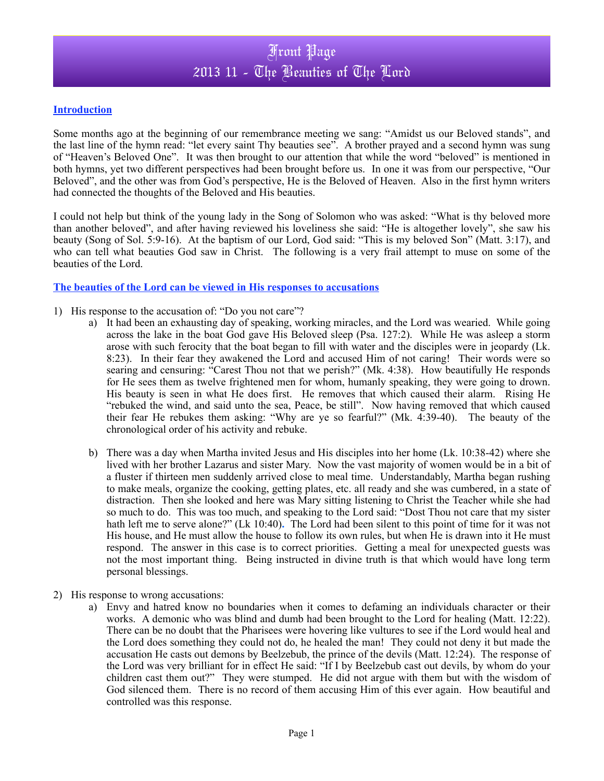### **Introduction**

Some months ago at the beginning of our remembrance meeting we sang: "Amidst us our Beloved stands", and the last line of the hymn read: "let every saint Thy beauties see". A brother prayed and a second hymn was sung of "Heaven's Beloved One". It was then brought to our attention that while the word "beloved" is mentioned in both hymns, yet two different perspectives had been brought before us. In one it was from our perspective, "Our Beloved", and the other was from God's perspective, He is the Beloved of Heaven. Also in the first hymn writers had connected the thoughts of the Beloved and His beauties.

I could not help but think of the young lady in the Song of Solomon who was asked: "What is thy beloved more than another beloved", and after having reviewed his loveliness she said: "He is altogether lovely", she saw his beauty (Song of Sol. 5:9-16). At the baptism of our Lord, God said: "This is my beloved Son" (Matt. 3:17), and who can tell what beauties God saw in Christ. The following is a very frail attempt to muse on some of the beauties of the Lord.

### **The beauties of the Lord can be viewed in His responses to accusations**

- 1) His response to the accusation of: "Do you not care"?
	- a) It had been an exhausting day of speaking, working miracles, and the Lord was wearied. While going across the lake in the boat God gave His Beloved sleep (Psa. 127:2). While He was asleep a storm arose with such ferocity that the boat began to fill with water and the disciples were in jeopardy (Lk. 8:23). In their fear they awakened the Lord and accused Him of not caring! Their words were so searing and censuring: "Carest Thou not that we perish?" (Mk. 4:38). How beautifully He responds for He sees them as twelve frightened men for whom, humanly speaking, they were going to drown. His beauty is seen in what He does first. He removes that which caused their alarm. Rising He "rebuked the wind, and said unto the sea, Peace, be still". Now having removed that which caused their fear He rebukes them asking: "Why are ye so fearful?" (Mk. 4:39-40). The beauty of the chronological order of his activity and rebuke.
	- b) There was a day when Martha invited Jesus and His disciples into her home (Lk. 10:38-42) where she lived with her brother Lazarus and sister Mary. Now the vast majority of women would be in a bit of a fluster if thirteen men suddenly arrived close to meal time. Understandably, Martha began rushing to make meals, organize the cooking, getting plates, etc. all ready and she was cumbered, in a state of distraction. Then she looked and here was Mary sitting listening to Christ the Teacher while she had so much to do. This was too much, and speaking to the Lord said: "Dost Thou not care that my sister hath left me to serve alone?" (Lk 10:40)**.** The Lord had been silent to this point of time for it was not His house, and He must allow the house to follow its own rules, but when He is drawn into it He must respond. The answer in this case is to correct priorities. Getting a meal for unexpected guests was not the most important thing. Being instructed in divine truth is that which would have long term personal blessings.
- 2) His response to wrong accusations:
	- a) Envy and hatred know no boundaries when it comes to defaming an individuals character or their works. A demonic who was blind and dumb had been brought to the Lord for healing (Matt. 12:22). There can be no doubt that the Pharisees were hovering like vultures to see if the Lord would heal and the Lord does something they could not do, he healed the man! They could not deny it but made the accusation He casts out demons by Beelzebub, the prince of the devils (Matt. 12:24). The response of the Lord was very brilliant for in effect He said: "If I by Beelzebub cast out devils, by whom do your children cast them out?" They were stumped. He did not argue with them but with the wisdom of God silenced them. There is no record of them accusing Him of this ever again. How beautiful and controlled was this response.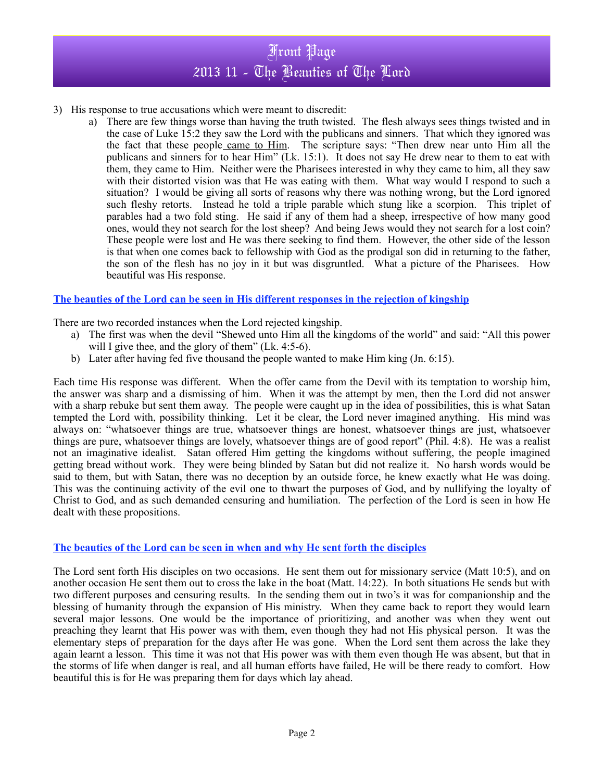- 3) His response to true accusations which were meant to discredit:
	- a) There are few things worse than having the truth twisted. The flesh always sees things twisted and in the case of Luke 15:2 they saw the Lord with the publicans and sinners. That which they ignored was the fact that these people came to Him. The scripture says: "Then drew near unto Him all the publicans and sinners for to hear Him" (Lk. 15:1). It does not say He drew near to them to eat with them, they came to Him. Neither were the Pharisees interested in why they came to him, all they saw with their distorted vision was that He was eating with them. What way would I respond to such a situation? I would be giving all sorts of reasons why there was nothing wrong, but the Lord ignored such fleshy retorts. Instead he told a triple parable which stung like a scorpion. This triplet of parables had a two fold sting. He said if any of them had a sheep, irrespective of how many good ones, would they not search for the lost sheep? And being Jews would they not search for a lost coin? These people were lost and He was there seeking to find them. However, the other side of the lesson is that when one comes back to fellowship with God as the prodigal son did in returning to the father, the son of the flesh has no joy in it but was disgruntled. What a picture of the Pharisees. How beautiful was His response.

## **The beauties of the Lord can be seen in His different responses in the rejection of kingship**

There are two recorded instances when the Lord rejected kingship.

- a) The first was when the devil "Shewed unto Him all the kingdoms of the world" and said: "All this power will I give thee, and the glory of them" (Lk. 4:5-6).
- b) Later after having fed five thousand the people wanted to make Him king (Jn. 6:15).

Each time His response was different. When the offer came from the Devil with its temptation to worship him, the answer was sharp and a dismissing of him. When it was the attempt by men, then the Lord did not answer with a sharp rebuke but sent them away. The people were caught up in the idea of possibilities, this is what Satan tempted the Lord with, possibility thinking. Let it be clear, the Lord never imagined anything. His mind was always on: "whatsoever things are true, whatsoever things are honest, whatsoever things are just, whatsoever things are pure, whatsoever things are lovely, whatsoever things are of good report" (Phil. 4:8). He was a realist not an imaginative idealist. Satan offered Him getting the kingdoms without suffering, the people imagined getting bread without work. They were being blinded by Satan but did not realize it. No harsh words would be said to them, but with Satan, there was no deception by an outside force, he knew exactly what He was doing. This was the continuing activity of the evil one to thwart the purposes of God, and by nullifying the loyalty of Christ to God, and as such demanded censuring and humiliation. The perfection of the Lord is seen in how He dealt with these propositions.

### **The beauties of the Lord can be seen in when and why He sent forth the disciples**

The Lord sent forth His disciples on two occasions. He sent them out for missionary service (Matt 10:5), and on another occasion He sent them out to cross the lake in the boat (Matt. 14:22). In both situations He sends but with two different purposes and censuring results. In the sending them out in two's it was for companionship and the blessing of humanity through the expansion of His ministry. When they came back to report they would learn several major lessons. One would be the importance of prioritizing, and another was when they went out preaching they learnt that His power was with them, even though they had not His physical person. It was the elementary steps of preparation for the days after He was gone. When the Lord sent them across the lake they again learnt a lesson. This time it was not that His power was with them even though He was absent, but that in the storms of life when danger is real, and all human efforts have failed, He will be there ready to comfort. How beautiful this is for He was preparing them for days which lay ahead.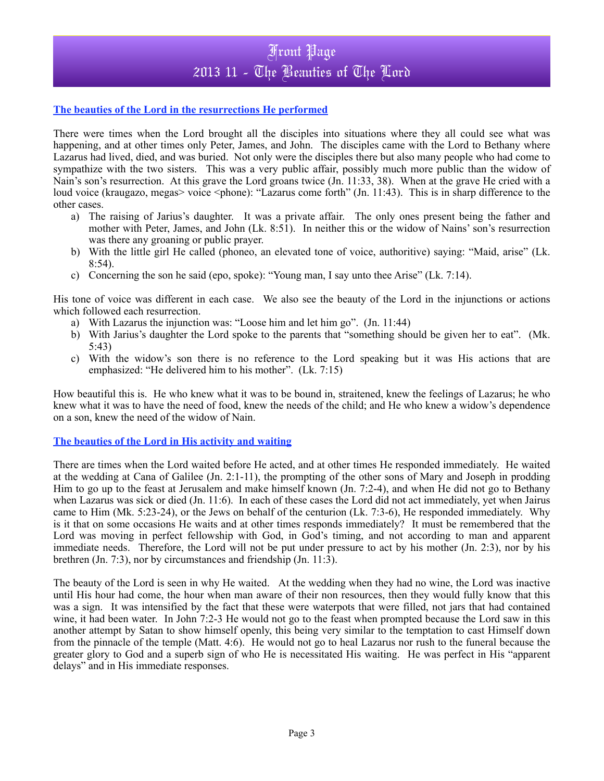### **The beauties of the Lord in the resurrections He performed**

There were times when the Lord brought all the disciples into situations where they all could see what was happening, and at other times only Peter, James, and John. The disciples came with the Lord to Bethany where Lazarus had lived, died, and was buried. Not only were the disciples there but also many people who had come to sympathize with the two sisters. This was a very public affair, possibly much more public than the widow of Nain's son's resurrection. At this grave the Lord groans twice (Jn. 11:33, 38). When at the grave He cried with a loud voice (kraugazo, megas> voice <phone): "Lazarus come forth" (Jn. 11:43). This is in sharp difference to the other cases.

- a) The raising of Jarius's daughter. It was a private affair. The only ones present being the father and mother with Peter, James, and John (Lk. 8:51). In neither this or the widow of Nains' son's resurrection was there any groaning or public prayer.
- b) With the little girl He called (phoneo, an elevated tone of voice, authoritive) saying: "Maid, arise" (Lk.  $8:54$ ).
- c) Concerning the son he said (epo, spoke): "Young man, I say unto thee Arise" (Lk. 7:14).

His tone of voice was different in each case. We also see the beauty of the Lord in the injunctions or actions which followed each resurrection.

- a) With Lazarus the injunction was: "Loose him and let him go". (Jn. 11:44)
- b) With Jarius's daughter the Lord spoke to the parents that "something should be given her to eat". (Mk. 5:43)
- c) With the widow's son there is no reference to the Lord speaking but it was His actions that are emphasized: "He delivered him to his mother". (Lk. 7:15)

How beautiful this is. He who knew what it was to be bound in, straitened, knew the feelings of Lazarus; he who knew what it was to have the need of food, knew the needs of the child; and He who knew a widow's dependence on a son, knew the need of the widow of Nain.

### **The beauties of the Lord in His activity and waiting**

There are times when the Lord waited before He acted, and at other times He responded immediately. He waited at the wedding at Cana of Galilee (Jn. 2:1-11), the prompting of the other sons of Mary and Joseph in prodding Him to go up to the feast at Jerusalem and make himself known (Jn. 7:2-4), and when He did not go to Bethany when Lazarus was sick or died (Jn. 11:6). In each of these cases the Lord did not act immediately, yet when Jairus came to Him (Mk. 5:23-24), or the Jews on behalf of the centurion (Lk. 7:3-6), He responded immediately. Why is it that on some occasions He waits and at other times responds immediately? It must be remembered that the Lord was moving in perfect fellowship with God, in God's timing, and not according to man and apparent immediate needs. Therefore, the Lord will not be put under pressure to act by his mother (Jn. 2:3), nor by his brethren (Jn. 7:3), nor by circumstances and friendship (Jn. 11:3).

The beauty of the Lord is seen in why He waited. At the wedding when they had no wine, the Lord was inactive until His hour had come, the hour when man aware of their non resources, then they would fully know that this was a sign. It was intensified by the fact that these were waterpots that were filled, not jars that had contained wine, it had been water. In John 7:2-3 He would not go to the feast when prompted because the Lord saw in this another attempt by Satan to show himself openly, this being very similar to the temptation to cast Himself down from the pinnacle of the temple (Matt. 4:6). He would not go to heal Lazarus nor rush to the funeral because the greater glory to God and a superb sign of who He is necessitated His waiting. He was perfect in His "apparent delays" and in His immediate responses.